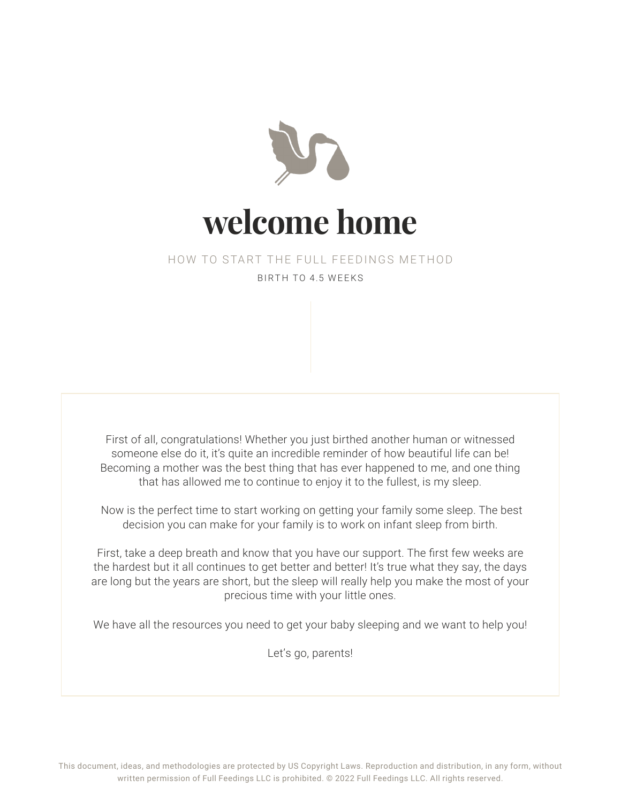

#### HOW TO START THE FULL FEEDINGS METHOD BIRTH TO 4.5 WEEKS

First of all, congratulations! Whether you just birthed another human or witnessed someone else do it, it's quite an incredible reminder of how beautiful life can be! Becoming a mother was the best thing that has ever happened to me, and one thing that has allowed me to continue to enjoy it to the fullest, is my sleep.

 Now is the perfect time to start working on getting your family some sleep. The best decision you can make for your family is to work on infant sleep from birth.

First, take a deep breath and know that you have our support. The first few weeks are the hardest but it all continues to get better and better! It's true what they say, the days are long but the years are short, but the sleep will really help you make the most of your precious time with your little ones.

We have all the resources you need to get your baby sleeping and we want to help you!

Let's go, parents!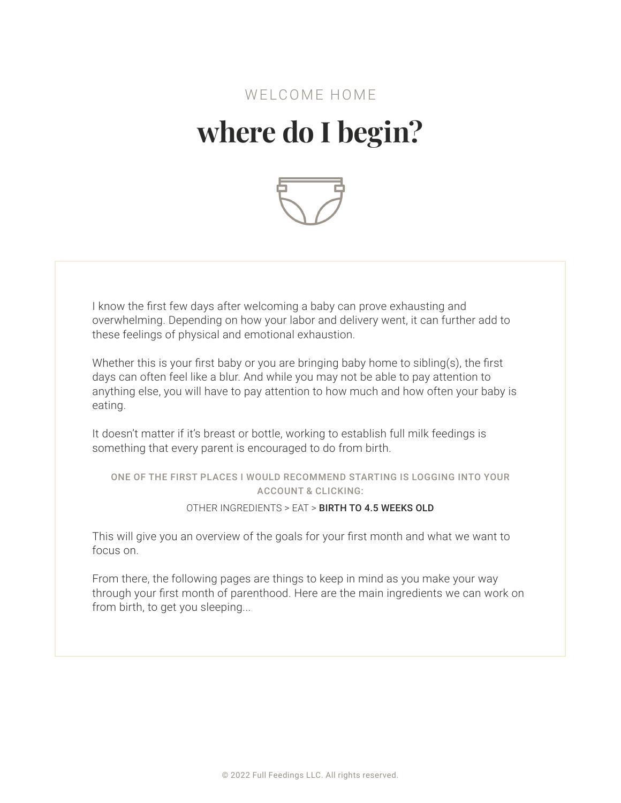### WELCOME HOME **where do I begin?**



I know the first few days after welcoming a baby can prove exhausting and overwhelming. Depending on how your labor and delivery went, it can further add to these feelings of physical and emotional exhaustion.

Whether this is your first baby or you are bringing baby home to sibling(s), the first days can often feel like a blur. And while you may not be able to pay attention to anything else, you will have to pay attention to how much and how often your baby is eating.

It doesn't matter if it's breast or bottle, working to establish full milk feedings is something that every parent is encouraged to do from birth.

#### ONE OF THE FIRST PLACES I WOULD RECOMMEND STARTING IS LOGGING INTO YOUR ACCOUNT & CLICKING:

#### OTHER INGREDIENTS > EAT > BIRTH TO 4.5 WEEKS OLD

This will give you an overview of the goals for your first month and what we want to focus on.

From there, the following pages are things to keep in mind as you make your way through your first month of parenthood. Here are the main ingredients we can work on from birth, to get you sleeping...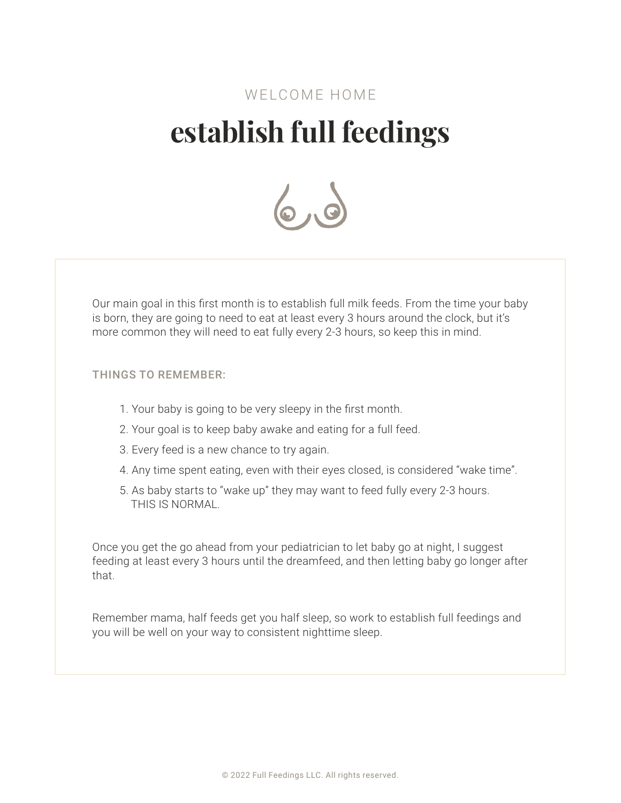### WELCOME HOME **establish full feedings**



Our main goal in this first month is to establish full milk feeds. From the time your baby is born, they are going to need to eat at least every 3 hours around the clock, but it's more common they will need to eat fully every 2-3 hours, so keep this in mind.

#### THINGS TO REMEMBER:

- 1. Your baby is going to be very sleepy in the first month.
- 2. Your goal is to keep baby awake and eating for a full feed.
- 3. Every feed is a new chance to try again.
- 4. Any time spent eating, even with their eyes closed, is considered "wake time".
- 5. As baby starts to "wake up" they may want to feed fully every 2-3 hours. THIS IS NORMAL.

Once you get the go ahead from your pediatrician to let baby go at night, I suggest feeding at least every 3 hours until the dreamfeed, and then letting baby go longer after that.

Remember mama, half feeds get you half sleep, so work to establish full feedings and you will be well on your way to consistent nighttime sleep.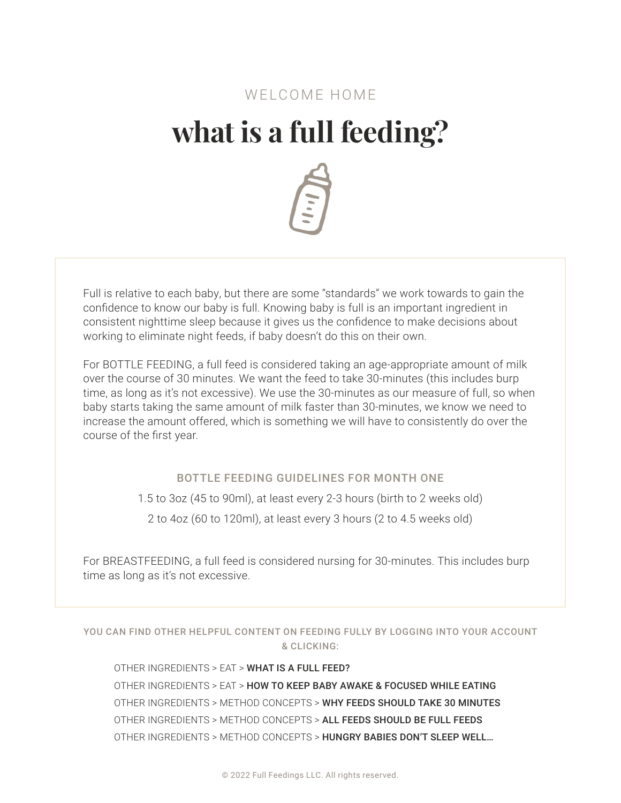# **what is a full feeding?**



Full is relative to each baby, but there are some "standards" we work towards to gain the confidence to know our baby is full. Knowing baby is full is an important ingredient in consistent nighttime sleep because it gives us the confidence to make decisions about working to eliminate night feeds, if baby doesn't do this on their own.

For BOTTLE FEEDING, a full feed is considered taking an age-appropriate amount of milk over the course of 30 minutes. We want the feed to take 30-minutes (this includes burp time, as long as it's not excessive). We use the 30-minutes as our measure of full, so when baby starts taking the same amount of milk faster than 30-minutes, we know we need to increase the amount offered, which is something we will have to consistently do over the course of the first year.

#### BOTTLE FEEDING GUIDELINES FOR MONTH ONE

1.5 to 3oz (45 to 90ml), at least every 2-3 hours (birth to 2 weeks old)

2 to 4oz (60 to 120ml), at least every 3 hours (2 to 4.5 weeks old)

For BREASTFEEDING, a full feed is considered nursing for 30-minutes. This includes burp time as long as it's not excessive.

YOU CAN FIND OTHER HELPFUL CONTENT ON FEEDING FULLY BY LOGGING INTO YOUR ACCOUNT & CLICKING:

OTHER INGREDIENTS > EAT > WHAT IS A FULL FEED? OTHER INGREDIENTS > EAT > HOW TO KEEP BABY AWAKE & FOCUSED WHILE EATING OTHER INGREDIENTS > METHOD CONCEPTS > WHY FEEDS SHOULD TAKE 30 MINUTES OTHER INGREDIENTS > METHOD CONCEPTS > ALL FEEDS SHOULD BE FULL FEEDS OTHER INGREDIENTS > METHOD CONCEPTS > HUNGRY BABIES DON'T SLEEP WELL…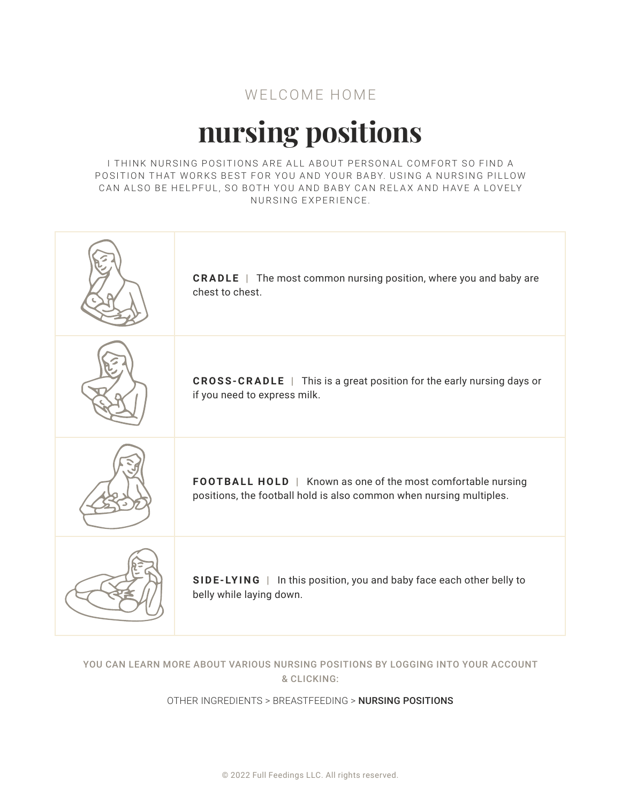# **nursing positions**

I THINK NURSING POSITIONS ARE ALL ABOUT PERSONAL COMFORT SO FIND A POSITION THAT WORKS BEST FOR YOU AND YOUR BABY. USING A NURSING PILLOW CAN ALSO BE HELPFUL, SO BOTH YOU AND BABY CAN RELAX AND HAVE A LOVELY NURSING EXPERIENCE.

| <b>CRADLE</b>   The most common nursing position, where you and baby are<br>chest to chest.                                         |
|-------------------------------------------------------------------------------------------------------------------------------------|
| <b>CROSS-CRADLE</b>   This is a great position for the early nursing days or<br>if you need to express milk.                        |
| FOOTBALL HOLD   Known as one of the most comfortable nursing<br>positions, the football hold is also common when nursing multiples. |
| SIDE-LYING  <br>In this position, you and baby face each other belly to<br>belly while laying down.                                 |

#### YOU CAN LEARN MORE ABOUT VARIOUS NURSING POSITIONS BY LOGGING INTO YOUR ACCOUNT & CLICKING:

#### OTHER INGREDIENTS > BREASTFEEDING > NURSING POSITIONS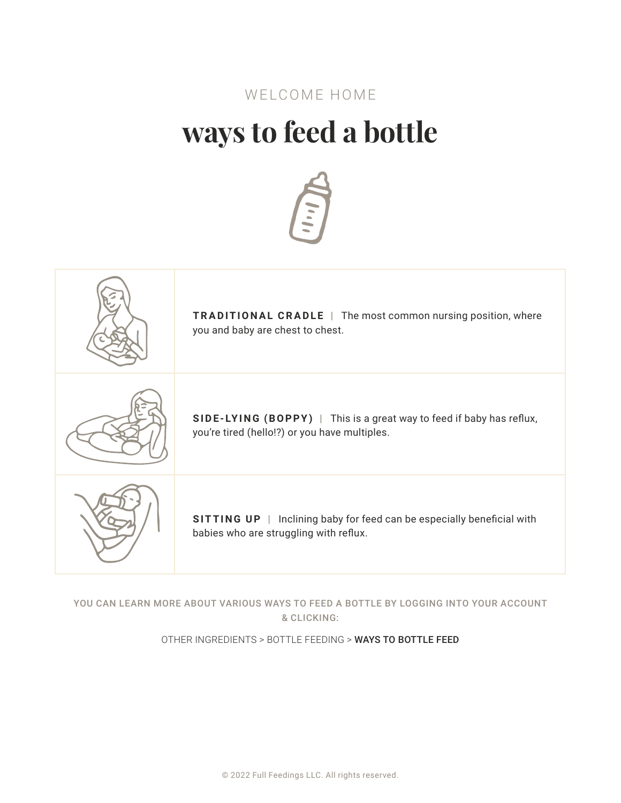## **ways to feed a bottle**





YOU CAN LEARN MORE ABOUT VARIOUS WAYS TO FEED A BOTTLE BY LOGGING INTO YOUR ACCOUNT & CLICKING:

OTHER INGREDIENTS > BOTTLE FEEDING > WAYS TO BOTTLE FEED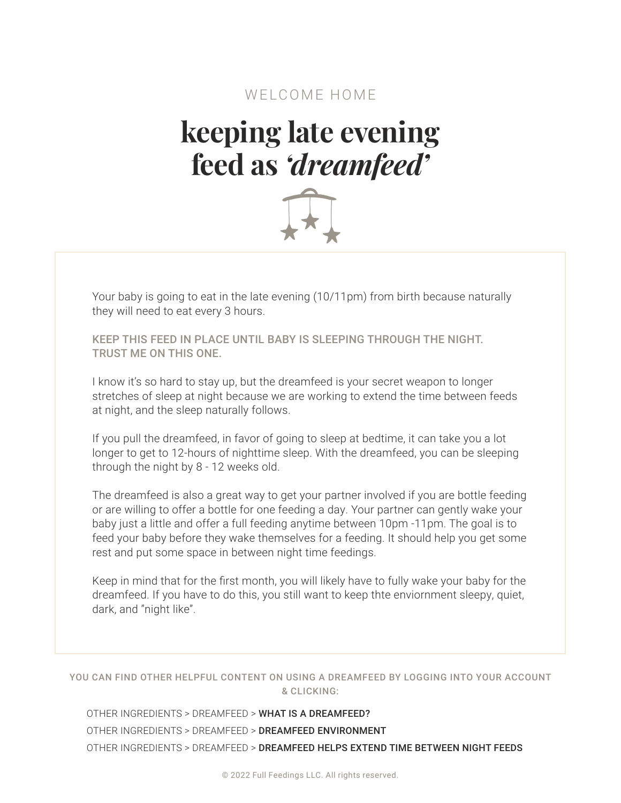## **keeping late evening feed as** *'dreamfeed'*



Your baby is going to eat in the late evening (10/11pm) from birth because naturally they will need to eat every 3 hours.

KEEP THIS FEED IN PLACE UNTIL BABY IS SLEEPING THROUGH THE NIGHT. TRUST ME ON THIS ONE.

I know it's so hard to stay up, but the dreamfeed is your secret weapon to longer stretches of sleep at night because we are working to extend the time between feeds at night, and the sleep naturally follows.

If you pull the dreamfeed, in favor of going to sleep at bedtime, it can take you a lot longer to get to 12-hours of nighttime sleep. With the dreamfeed, you can be sleeping through the night by 8 - 12 weeks old.

The dreamfeed is also a great way to get your partner involved if you are bottle feeding or are willing to offer a bottle for one feeding a day. Your partner can gently wake your baby just a little and offer a full feeding anytime between 10pm -11pm. The goal is to feed your baby before they wake themselves for a feeding. It should help you get some rest and put some space in between night time feedings.

Keep in mind that for the first month, you will likely have to fully wake your baby for the dreamfeed. If you have to do this, you still want to keep thte enviornment sleepy, quiet, dark, and "night like".

#### YOU CAN FIND OTHER HELPFUL CONTENT ON USING A DREAMFEED BY LOGGING INTO YOUR ACCOUNT & CLICKING:

OTHER INGREDIENTS > DREAMFEED > WHAT IS A DREAMFEED? OTHER INGREDIENTS > DREAMFEED > DREAMFEED ENVIRONMENT OTHER INGREDIENTS > DREAMFEED > DREAMFEED HELPS EXTEND TIME BETWEEN NIGHT FEEDS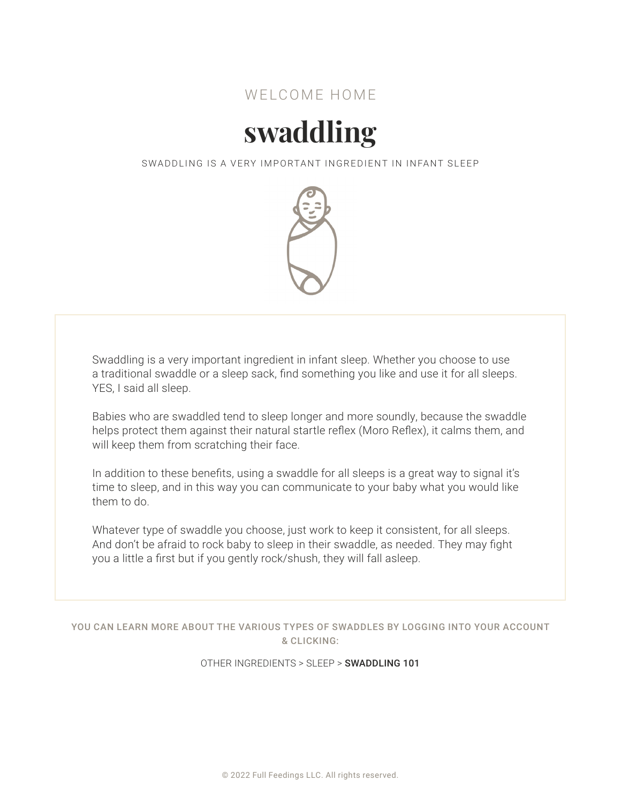

# **swaddling**

SWADDLING IS A VERY IMPORTANT INGREDIENT IN INFANT SLEEP



Swaddling is a very important ingredient in infant sleep. Whether you choose to use a traditional swaddle or a sleep sack, find something you like and use it for all sleeps. YES, I said all sleep.

Babies who are swaddled tend to sleep longer and more soundly, because the swaddle helps protect them against their natural startle reflex (Moro Reflex), it calms them, and will keep them from scratching their face.

In addition to these benefits, using a swaddle for all sleeps is a great way to signal it's time to sleep, and in this way you can communicate to your baby what you would like them to do.

Whatever type of swaddle you choose, just work to keep it consistent, for all sleeps. And don't be afraid to rock baby to sleep in their swaddle, as needed. They may fight you a little a first but if you gently rock/shush, they will fall asleep.

YOU CAN LEARN MORE ABOUT THE VARIOUS TYPES OF SWADDLES BY LOGGING INTO YOUR ACCOUNT & CLICKING:

OTHER INGREDIENTS > SLEEP > SWADDLING 101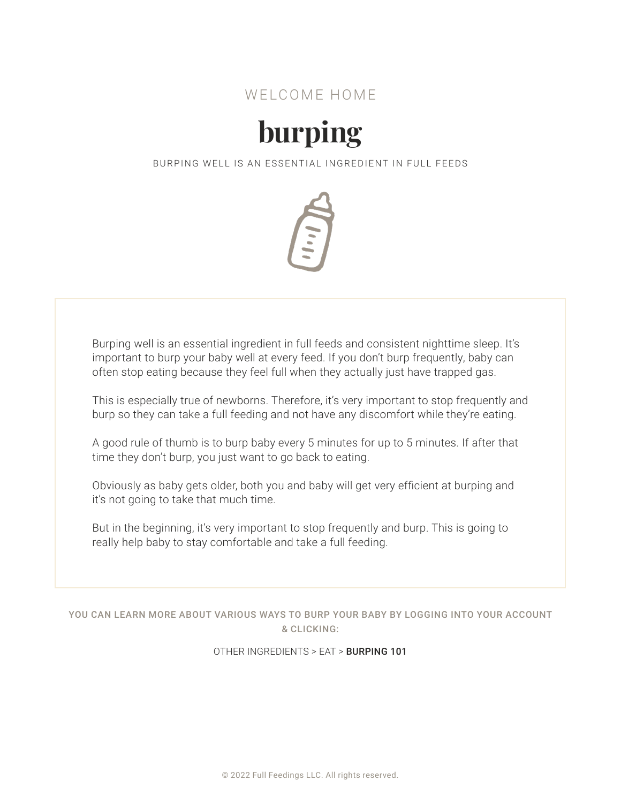

# **burping**

BURPING WELL IS AN ESSENTIAL INGREDIENT IN FULL FEEDS



Burping well is an essential ingredient in full feeds and consistent nighttime sleep. It's important to burp your baby well at every feed. If you don't burp frequently, baby can often stop eating because they feel full when they actually just have trapped gas.

This is especially true of newborns. Therefore, it's very important to stop frequently and burp so they can take a full feeding and not have any discomfort while they're eating.

A good rule of thumb is to burp baby every 5 minutes for up to 5 minutes. If after that time they don't burp, you just want to go back to eating.

Obviously as baby gets older, both you and baby will get very efficient at burping and it's not going to take that much time.

But in the beginning, it's very important to stop frequently and burp. This is going to really help baby to stay comfortable and take a full feeding.

YOU CAN LEARN MORE ABOUT VARIOUS WAYS TO BURP YOUR BABY BY LOGGING INTO YOUR ACCOUNT & CLICKING:

OTHER INGREDIENTS > EAT > BURPING 101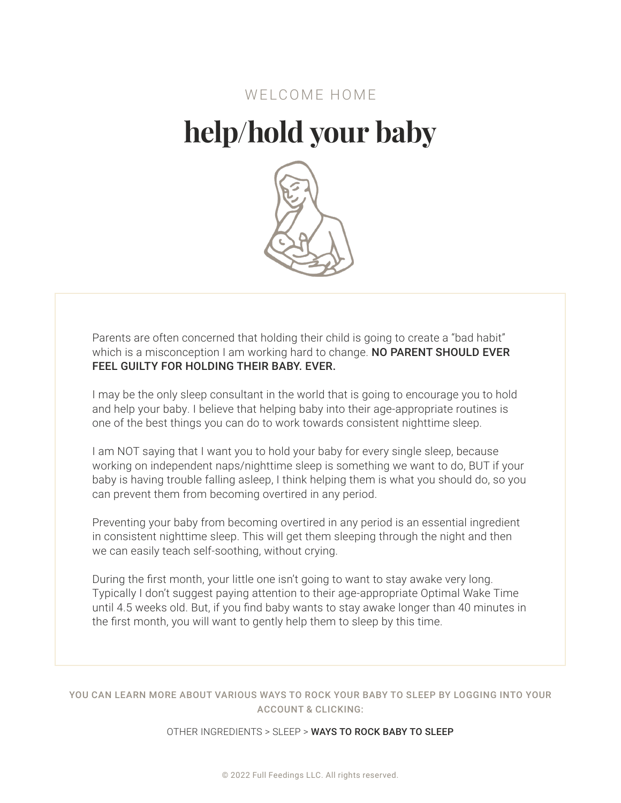## **help/hold your baby**



Parents are often concerned that holding their child is going to create a "bad habit" which is a misconception I am working hard to change. NO PARENT SHOULD EVER FEEL GUILTY FOR HOLDING THEIR BABY. EVER.

I may be the only sleep consultant in the world that is going to encourage you to hold and help your baby. I believe that helping baby into their age-appropriate routines is one of the best things you can do to work towards consistent nighttime sleep.

I am NOT saying that I want you to hold your baby for every single sleep, because working on independent naps/nighttime sleep is something we want to do, BUT if your baby is having trouble falling asleep, I think helping them is what you should do, so you can prevent them from becoming overtired in any period.

Preventing your baby from becoming overtired in any period is an essential ingredient in consistent nighttime sleep. This will get them sleeping through the night and then we can easily teach self-soothing, without crying.

During the first month, your little one isn't going to want to stay awake very long. Typically I don't suggest paying attention to their age-appropriate Optimal Wake Time until 4.5 weeks old. But, if you find baby wants to stay awake longer than 40 minutes in the first month, you will want to gently help them to sleep by this time.

YOU CAN LEARN MORE ABOUT VARIOUS WAYS TO ROCK YOUR BABY TO SLEEP BY LOGGING INTO YOUR ACCOUNT & CLICKING:

OTHER INGREDIENTS > SLEEP > WAYS TO ROCK BABY TO SLEEP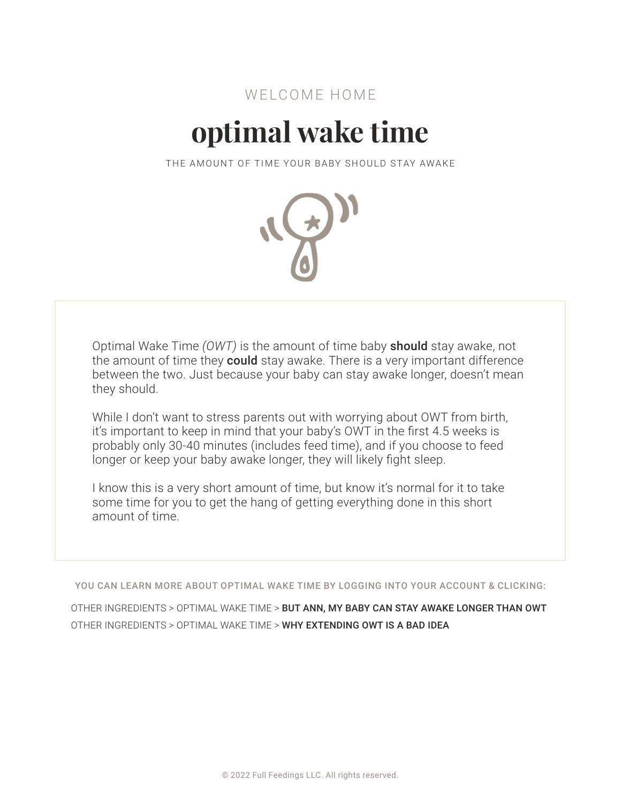# **optimal wake time**

THE AMOUNT OF TIME YOUR BABY SHOULD STAY AWAKE



Optimal Wake Time *(OWT)* is the amount of time baby should stay awake, not the amount of time they **could** stay awake. There is a very important difference between the two. Just because your baby can stay awake longer, doesn't mean they should.

While I don't want to stress parents out with worrying about OWT from birth, it's important to keep in mind that your baby's OWT in the first 4.5 weeks is probably only 30-40 minutes (includes feed time), and if you choose to feed longer or keep your baby awake longer, they will likely fight sleep.

I know this is a very short amount of time, but know it's normal for it to take some time for you to get the hang of getting everything done in this short amount of time.

YOU CAN LEARN MORE ABOUT OPTIMAL WAKE TIME BY LOGGING INTO YOUR ACCOUNT & CLICKING:

OTHER INGREDIENTS > OPTIMAL WAKE TIME > BUT ANN, MY BABY CAN STAY AWAKE LONGER THAN OWT OTHER INGREDIENTS > OPTIMAL WAKE TIME > WHY EXTENDING OWT IS A BAD IDEA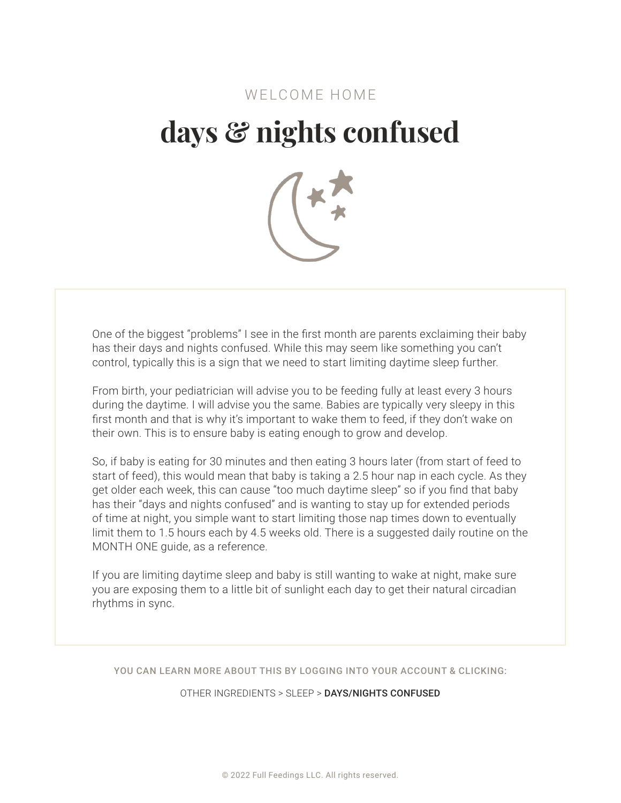# **days & nights confused**



One of the biggest "problems" I see in the first month are parents exclaiming their baby has their days and nights confused. While this may seem like something you can't control, typically this is a sign that we need to start limiting daytime sleep further.

From birth, your pediatrician will advise you to be feeding fully at least every 3 hours during the daytime. I will advise you the same. Babies are typically very sleepy in this first month and that is why it's important to wake them to feed, if they don't wake on their own. This is to ensure baby is eating enough to grow and develop.

So, if baby is eating for 30 minutes and then eating 3 hours later (from start of feed to start of feed), this would mean that baby is taking a 2.5 hour nap in each cycle. As they get older each week, this can cause "too much daytime sleep" so if you find that baby has their "days and nights confused" and is wanting to stay up for extended periods of time at night, you simple want to start limiting those nap times down to eventually limit them to 1.5 hours each by 4.5 weeks old. There is a suggested daily routine on the MONTH ONE guide, as a reference.

If you are limiting daytime sleep and baby is still wanting to wake at night, make sure you are exposing them to a little bit of sunlight each day to get their natural circadian rhythms in sync.

YOU CAN LEARN MORE ABOUT THIS BY LOGGING INTO YOUR ACCOUNT & CLICKING:

OTHER INGREDIENTS > SLEEP > DAYS/NIGHTS CONFUSED